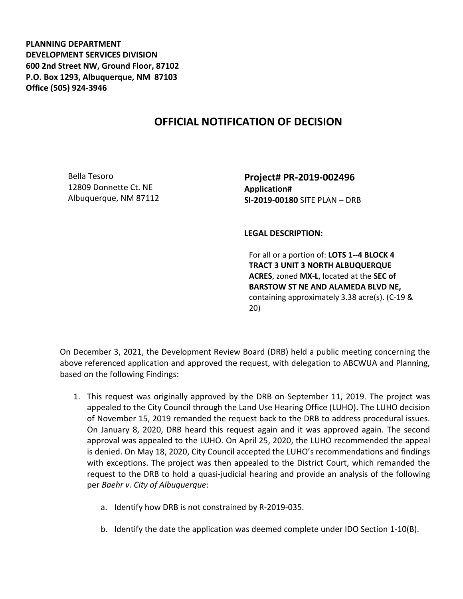**PLANNING DEPARTMENT DEVELOPMENT SERVICES DIVISION 600 2nd Street NW, Ground Floor, 87102 P.O. Box 1293, Albuquerque, NM 87103 Office (505) 924-3946** 

## **OFFICIAL NOTIFICATION OF DECISION**

Bella Tesoro 12809 Donnette Ct. NE Albuquerque, NM 87112 **Project# PR-2019-002496 Application# SI-2019-00180** SITE PLAN – DRB

**LEGAL DESCRIPTION:**

For all or a portion of: **LOTS 1--4 BLOCK 4 TRACT 3 UNIT 3 NORTH ALBUQUERQUE ACRES**, zoned **MX-L**, located at the **SEC of BARSTOW ST NE AND ALAMEDA BLVD NE,**  containing approximately 3.38 acre(s). (C-19 & 20)

On December 3, 2021, the Development Review Board (DRB) held a public meeting concerning the above referenced application and approved the request, with delegation to ABCWUA and Planning, based on the following Findings:

- 1. This request was originally approved by the DRB on September 11, 2019. The project was appealed to the City Council through the Land Use Hearing Office (LUHO). The LUHO decision of November 15, 2019 remanded the request back to the DRB to address procedural issues. On January 8, 2020, DRB heard this request again and it was approved again. The second approval was appealed to the LUHO. On April 25, 2020, the LUHO recommended the appeal is denied. On May 18, 2020, City Council accepted the LUHO's recommendations and findings with exceptions. The project was then appealed to the District Court, which remanded the request to the DRB to hold a quasi-judicial hearing and provide an analysis of the following per *Baehr v. City of Albuquerque*:
	- a. Identify how DRB is not constrained by R-2019-035.
	- b. Identify the date the application was deemed complete under IDO Section 1-10(B).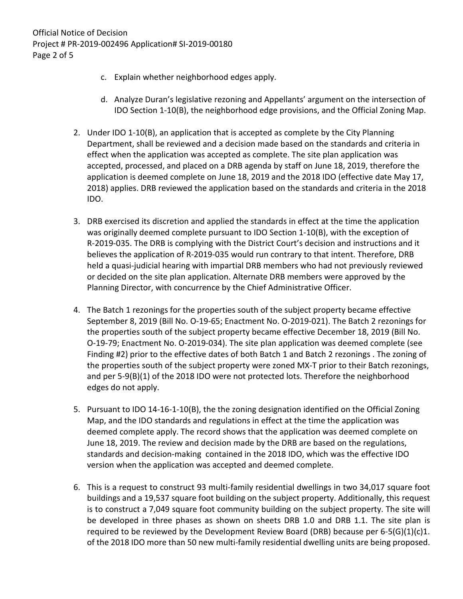- c. Explain whether neighborhood edges apply.
- d. Analyze Duran's legislative rezoning and Appellants' argument on the intersection of IDO Section 1-10(B), the neighborhood edge provisions, and the Official Zoning Map.
- 2. Under IDO 1-10(B), an application that is accepted as complete by the City Planning Department, shall be reviewed and a decision made based on the standards and criteria in effect when the application was accepted as complete. The site plan application was accepted, processed, and placed on a DRB agenda by staff on June 18, 2019, therefore the application is deemed complete on June 18, 2019 and the 2018 IDO (effective date May 17, 2018) applies. DRB reviewed the application based on the standards and criteria in the 2018 IDO.
- 3. DRB exercised its discretion and applied the standards in effect at the time the application was originally deemed complete pursuant to IDO Section 1-10(B), with the exception of R-2019-035. The DRB is complying with the District Court's decision and instructions and it believes the application of R-2019-035 would run contrary to that intent. Therefore, DRB held a quasi-judicial hearing with impartial DRB members who had not previously reviewed or decided on the site plan application. Alternate DRB members were approved by the Planning Director, with concurrence by the Chief Administrative Officer.
- 4. The Batch 1 rezonings for the properties south of the subject property became effective September 8, 2019 (Bill No. O-19-65; Enactment No. O-2019-021). The Batch 2 rezonings for the properties south of the subject property became effective December 18, 2019 (Bill No. O-19-79; Enactment No. O-2019-034). The site plan application was deemed complete (see Finding #2) prior to the effective dates of both Batch 1 and Batch 2 rezonings . The zoning of the properties south of the subject property were zoned MX-T prior to their Batch rezonings, and per 5-9(B)(1) of the 2018 IDO were not protected lots. Therefore the neighborhood edges do not apply.
- 5. Pursuant to IDO 14-16-1-10(B), the the zoning designation identified on the Official Zoning Map, and the IDO standards and regulations in effect at the time the application was deemed complete apply. The record shows that the application was deemed complete on June 18, 2019. The review and decision made by the DRB are based on the regulations, standards and decision-making contained in the 2018 IDO, which was the effective IDO version when the application was accepted and deemed complete.
- 6. This is a request to construct 93 multi-family residential dwellings in two 34,017 square foot buildings and a 19,537 square foot building on the subject property. Additionally, this request is to construct a 7,049 square foot community building on the subject property. The site will be developed in three phases as shown on sheets DRB 1.0 and DRB 1.1. The site plan is required to be reviewed by the Development Review Board (DRB) because per  $6-5(G)(1)(c)1$ . of the 2018 IDO more than 50 new multi-family residential dwelling units are being proposed.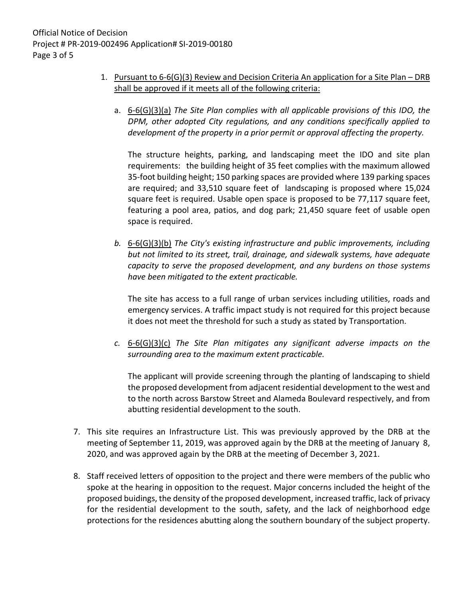- 1. Pursuant to 6-6(G)(3) Review and Decision Criteria An application for a Site Plan DRB shall be approved if it meets all of the following criteria:
	- a. 6-6(G)(3)(a) *The Site Plan complies with all applicable provisions of this IDO, the DPM, other adopted City regulations, and any conditions specifically applied to development of the property in a prior permit or approval affecting the property.*

The structure heights, parking, and landscaping meet the IDO and site plan requirements: the building height of 35 feet complies with the maximum allowed 35-foot building height; 150 parking spaces are provided where 139 parking spaces are required; and 33,510 square feet of landscaping is proposed where 15,024 square feet is required. Usable open space is proposed to be 77,117 square feet, featuring a pool area, patios, and dog park; 21,450 square feet of usable open space is required.

*b.* 6-6(G)(3)(b) *The City's existing infrastructure and public improvements, including but not limited to its street, trail, drainage, and sidewalk systems, have adequate capacity to serve the proposed development, and any burdens on those systems have been mitigated to the extent practicable.* 

The site has access to a full range of urban services including utilities, roads and emergency services. A traffic impact study is not required for this project because it does not meet the threshold for such a study as stated by Transportation.

*c.* 6-6(G)(3)(c) *The Site Plan mitigates any significant adverse impacts on the surrounding area to the maximum extent practicable.* 

The applicant will provide screening through the planting of landscaping to shield the proposed development from adjacent residential development to the west and to the north across Barstow Street and Alameda Boulevard respectively, and from abutting residential development to the south.

- 7. This site requires an Infrastructure List. This was previously approved by the DRB at the meeting of September 11, 2019, was approved again by the DRB at the meeting of January 8, 2020, and was approved again by the DRB at the meeting of December 3, 2021.
- 8. Staff received letters of opposition to the project and there were members of the public who spoke at the hearing in opposition to the request. Major concerns included the height of the proposed buidings, the density of the proposed development, increased traffic, lack of privacy for the residential development to the south, safety, and the lack of neighborhood edge protections for the residences abutting along the southern boundary of the subject property.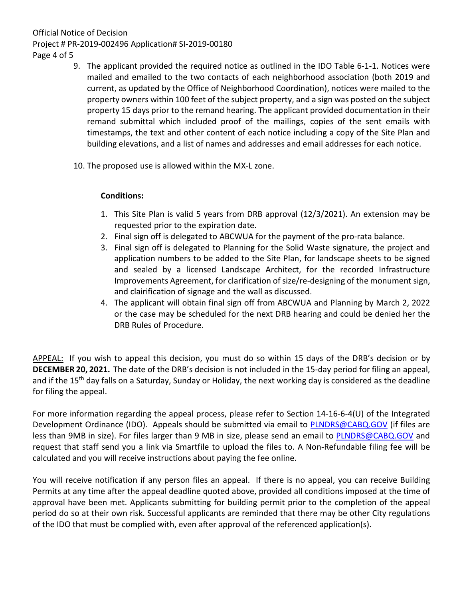## Official Notice of Decision Project # PR-2019-002496 Application# SI-2019-00180 Page 4 of 5

- 9. The applicant provided the required notice as outlined in the IDO Table 6-1-1. Notices were mailed and emailed to the two contacts of each neighborhood association (both 2019 and current, as updated by the Office of Neighborhood Coordination), notices were mailed to the property owners within 100 feet of the subject property, and a sign was posted on the subject property 15 days prior to the remand hearing. The applicant provided documentation in their remand submittal which included proof of the mailings, copies of the sent emails with timestamps, the text and other content of each notice including a copy of the Site Plan and building elevations, and a list of names and addresses and email addresses for each notice.
- 10. The proposed use is allowed within the MX-L zone.

## **Conditions:**

- 1. This Site Plan is valid 5 years from DRB approval (12/3/2021). An extension may be requested prior to the expiration date.
- 2. Final sign off is delegated to ABCWUA for the payment of the pro-rata balance.
- 3. Final sign off is delegated to Planning for the Solid Waste signature, the project and application numbers to be added to the Site Plan, for landscape sheets to be signed and sealed by a licensed Landscape Architect, for the recorded Infrastructure Improvements Agreement, for clarification of size/re-designing of the monument sign, and clairification of signage and the wall as discussed.
- 4. The applicant will obtain final sign off from ABCWUA and Planning by March 2, 2022 or the case may be scheduled for the next DRB hearing and could be denied her the DRB Rules of Procedure.

APPEAL: If you wish to appeal this decision, you must do so within 15 days of the DRB's decision or by **DECEMBER 20, 2021.** The date of the DRB's decision is not included in the 15-day period for filing an appeal, and if the 15<sup>th</sup> day falls on a Saturday, Sunday or Holiday, the next working day is considered as the deadline for filing the appeal.

For more information regarding the appeal process, please refer to Section 14-16-6-4(U) of the Integrated Development Ordinance (IDO). Appeals should be submitted via email to [PLNDRS@CABQ.GOV](mailto:PLNDRS@CABQ.GOV) (if files are less than 9MB in size). For files larger than 9 MB in size, please send an email to [PLNDRS@CABQ.GOV](mailto:PLNDRS@CABQ.GOV) and request that staff send you a link via Smartfile to upload the files to. A Non-Refundable filing fee will be calculated and you will receive instructions about paying the fee online.

You will receive notification if any person files an appeal. If there is no appeal, you can receive Building Permits at any time after the appeal deadline quoted above, provided all conditions imposed at the time of approval have been met. Applicants submitting for building permit prior to the completion of the appeal period do so at their own risk. Successful applicants are reminded that there may be other City regulations of the IDO that must be complied with, even after approval of the referenced application(s).